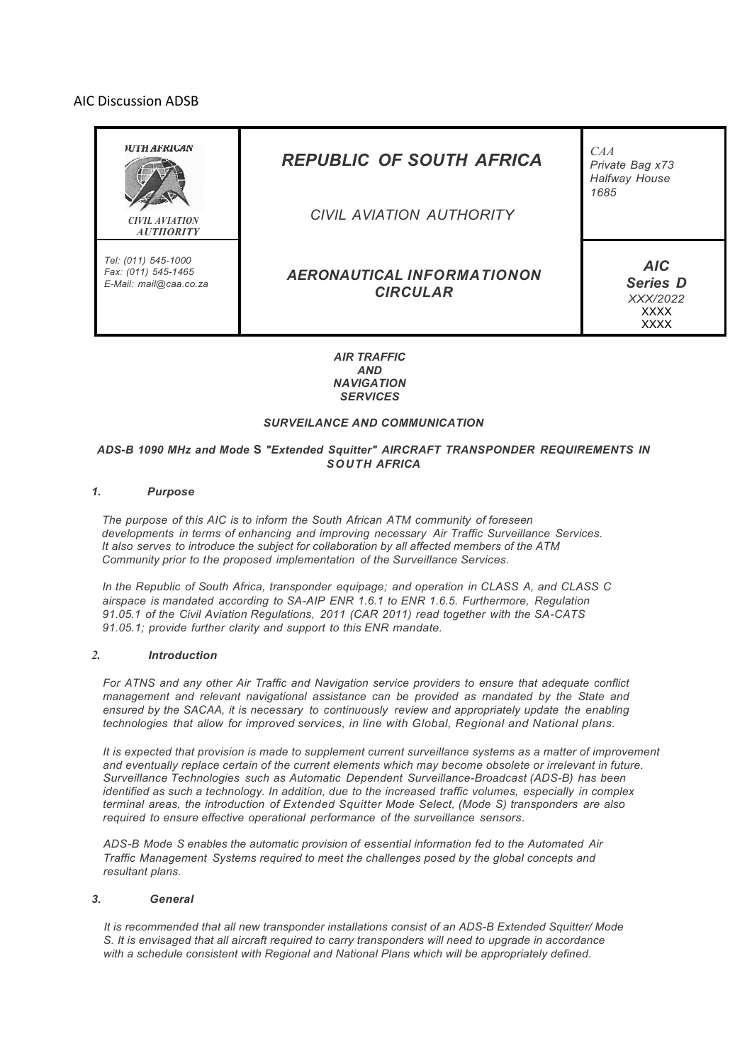# AIC Discussion ADSB



*AIR TRAFFIC AND NAVIGATION SERVICES*

# *SURVEILANCE AND COMMUNICATION*

### *ADS-B 1090 MHz and Mode* **S** *"Extended Squitter" AIRCRAFT TRANSPONDER REQUIREMENTS IN SOUTH AFRICA*

## *1. Purpose*

*The purpose of this AIC is to inform the South African ATM community of foreseen developments in terms of enhancing and improving necessary Air Traffic Surveillance Services. It also serves to introduce the subject for collaboration by all affected members of the ATM Community prior to the proposed implementation of the Surveillance Services.*

*In the Republic of South Africa, transponder equipage; and operation in CLASS A, and CLASS C airspace is mandated according to SA-AIP ENR 1.6.1 to ENR 1.6.5. Furthermore, Regulation 91.05.1 of the Civil Aviation Regulations, 2011 (CAR 2011) read together with the SA-CATS 91.05.1; provide further clarity and support to this ENR mandate.*

#### *2. Introduction*

*For ATNS and any other Air Traffic and Navigation service providers to ensure that adequate conflict management and relevant navigational assistance can be provided as mandated by the State and ensured by the SACAA, it is necessary to continuously review and appropriately update the enabling technologies that allow for improved services, in line with Global, Regional and National plans.*

*It is expected that provision is made to supplement current surveillance systems as a matter of improvement and eventually replace certain of the current elements which may become obsolete or irrelevant in future. Surveillance Technologies such as Automatic Dependent Surveillance-Broadcast (ADS-B) has been identified as such a technology. In addition, due to the increased traffic volumes, especially in complex terminal areas, the introduction of Extended Squitter Mode Select, (Mode S) transponders are also required to ensure effective operational performance of the surveillance sensors.*

*ADS-B Mode S enables the automatic provision of essential information fed to the Automated Air Traffic Management Systems required to meet the challenges posed by the global concepts and resultant plans.*

#### *3. General*

*It is recommended that all new transponder installations consist of an ADS-B Extended Squitter/ Mode S. It is envisaged that all aircraft required to carry transponders will need to upgrade in accordance with a schedule consistent with Regional and National Plans which will be appropriately defined.*